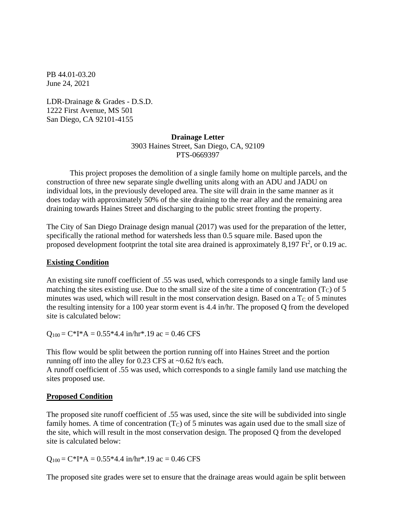PB 44.01-03.20 June 24, 2021

LDR-Drainage & Grades - D.S.D. 1222 First Avenue, MS 501 San Diego, CA 92101-4155

## **Drainage Letter** 3903 Haines Street, San Diego, CA, 92109 PTS-0669397

This project proposes the demolition of a single family home on multiple parcels, and the construction of three new separate single dwelling units along with an ADU and JADU on individual lots, in the previously developed area. The site will drain in the same manner as it does today with approximately 50% of the site draining to the rear alley and the remaining area draining towards Haines Street and discharging to the public street fronting the property.

The City of San Diego Drainage design manual (2017) was used for the preparation of the letter, specifically the rational method for watersheds less than 0.5 square mile. Based upon the proposed development footprint the total site area drained is approximately 8,197 Ft<sup>2</sup>, or 0.19 ac.

## **Existing Condition**

An existing site runoff coefficient of .55 was used, which corresponds to a single family land use matching the sites existing use. Due to the small size of the site a time of concentration  $(T_C)$  of 5 minutes was used, which will result in the most conservation design. Based on a  $T_c$  of 5 minutes the resulting intensity for a 100 year storm event is 4.4 in/hr. The proposed Q from the developed site is calculated below:

 $Q_{100} = C*I*A = 0.55*4.4$  in/hr<sup>\*</sup>.19 ac = 0.46 CFS

This flow would be split between the portion running off into Haines Street and the portion running off into the alley for 0.23 CFS at ~0.62 ft/s each.

A runoff coefficient of .55 was used, which corresponds to a single family land use matching the sites proposed use.

## **Proposed Condition**

The proposed site runoff coefficient of .55 was used, since the site will be subdivided into single family homes. A time of concentration  $(T<sub>C</sub>)$  of 5 minutes was again used due to the small size of the site, which will result in the most conservation design. The proposed Q from the developed site is calculated below:

 $Q_{100} = C*I*A = 0.55*4.4$  in/hr<sup>\*</sup>.19 ac = 0.46 CFS

The proposed site grades were set to ensure that the drainage areas would again be split between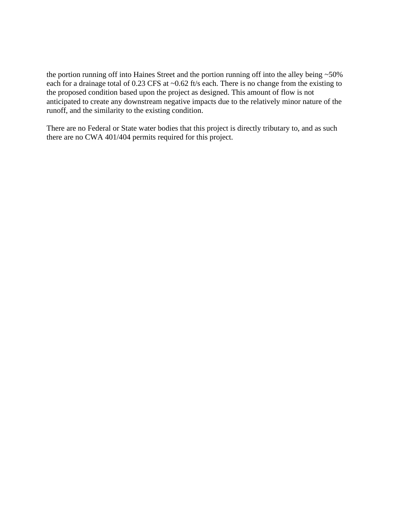the portion running off into Haines Street and the portion running off into the alley being ~50% each for a drainage total of 0.23 CFS at ~0.62 ft/s each. There is no change from the existing to the proposed condition based upon the project as designed. This amount of flow is not anticipated to create any downstream negative impacts due to the relatively minor nature of the runoff, and the similarity to the existing condition.

There are no Federal or State water bodies that this project is directly tributary to, and as such there are no CWA 401/404 permits required for this project.